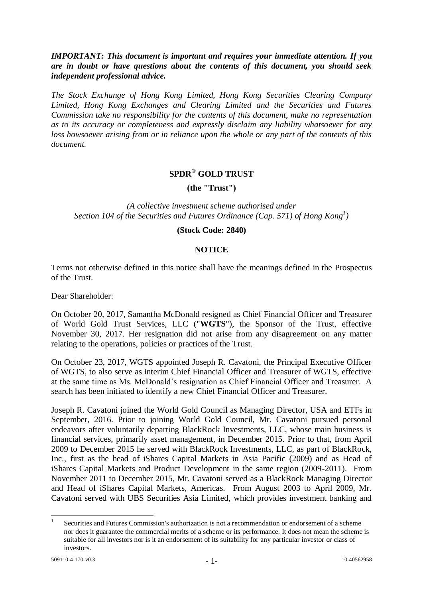## *IMPORTANT: This document is important and requires your immediate attention. If you are in doubt or have questions about the contents of this document, you should seek independent professional advice.*

*The Stock Exchange of Hong Kong Limited, Hong Kong Securities Clearing Company Limited, Hong Kong Exchanges and Clearing Limited and the Securities and Futures Commission take no responsibility for the contents of this document, make no representation as to its accuracy or completeness and expressly disclaim any liability whatsoever for any loss howsoever arising from or in reliance upon the whole or any part of the contents of this document.*

# **SPDR® GOLD TRUST**

**(the "Trust")**

*(A collective investment scheme authorised under Section 104 of the Securities and Futures Ordinance (Cap. 571) of Hong Kong<sup>1</sup> )*

#### **(Stock Code: 2840)**

#### **NOTICE**

Terms not otherwise defined in this notice shall have the meanings defined in the Prospectus of the Trust.

Dear Shareholder:

On October 20, 2017, Samantha McDonald resigned as Chief Financial Officer and Treasurer of World Gold Trust Services, LLC ("**WGTS**"), the Sponsor of the Trust, effective November 30, 2017. Her resignation did not arise from any disagreement on any matter relating to the operations, policies or practices of the Trust.

On October 23, 2017, WGTS appointed Joseph R. Cavatoni, the Principal Executive Officer of WGTS, to also serve as interim Chief Financial Officer and Treasurer of WGTS, effective at the same time as Ms. McDonald's resignation as Chief Financial Officer and Treasurer. A search has been initiated to identify a new Chief Financial Officer and Treasurer.

Joseph R. Cavatoni joined the World Gold Council as Managing Director, USA and ETFs in September, 2016. Prior to joining World Gold Council, Mr. Cavatoni pursued personal endeavors after voluntarily departing BlackRock Investments, LLC, whose main business is financial services, primarily asset management, in December 2015. Prior to that, from April 2009 to December 2015 he served with BlackRock Investments, LLC, as part of BlackRock, Inc., first as the head of iShares Capital Markets in Asia Pacific (2009) and as Head of iShares Capital Markets and Product Development in the same region (2009-2011). From November 2011 to December 2015, Mr. Cavatoni served as a BlackRock Managing Director and Head of iShares Capital Markets, Americas. From August 2003 to April 2009, Mr. Cavatoni served with UBS Securities Asia Limited, which provides investment banking and

 $\frac{1}{1}$ Securities and Futures Commission's authorization is not a recommendation or endorsement of a scheme nor does it guarantee the commercial merits of a scheme or its performance. It does not mean the scheme is suitable for all investors nor is it an endorsement of its suitability for any particular investor or class of investors.